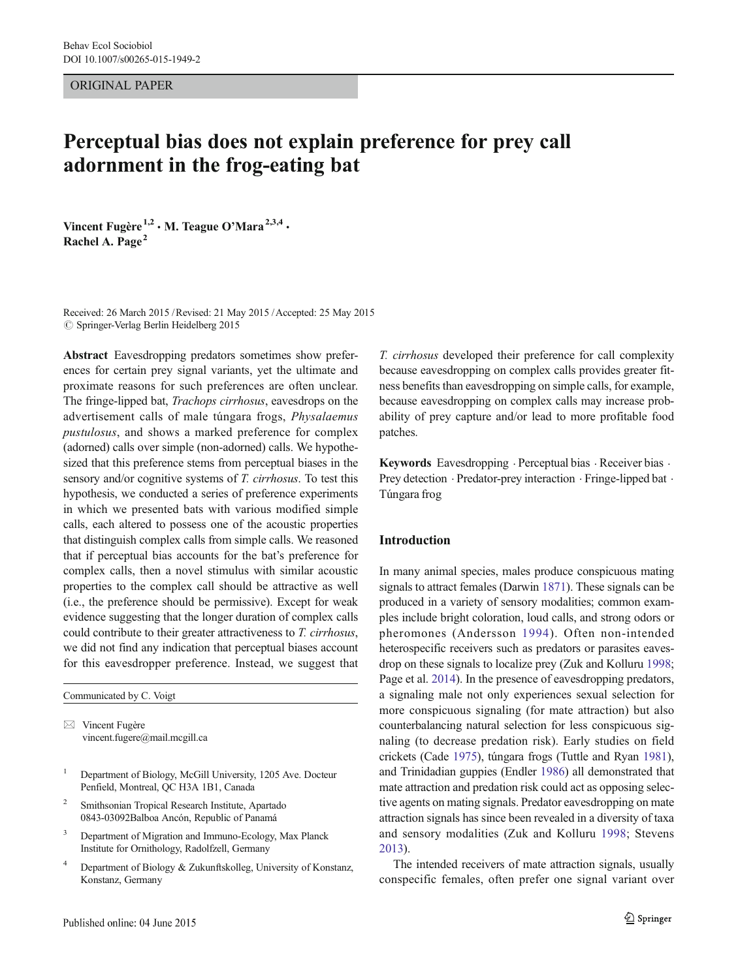ORIGINAL PAPER

# Perceptual bias does not explain preference for prey call adornment in the frog-eating bat

Vincent Fugère  $^{1,2}$   $\cdot$  M. Teague O'Mara<sup>2,3,4</sup>  $\cdot$ Rachel A. Page<sup>2</sup>

Received: 26 March 2015 /Revised: 21 May 2015 /Accepted: 25 May 2015  $\oslash$  Springer-Verlag Berlin Heidelberg 2015

Abstract Eavesdropping predators sometimes show preferences for certain prey signal variants, yet the ultimate and proximate reasons for such preferences are often unclear. The fringe-lipped bat, Trachops cirrhosus, eavesdrops on the advertisement calls of male túngara frogs, Physalaemus pustulosus, and shows a marked preference for complex (adorned) calls over simple (non-adorned) calls. We hypothesized that this preference stems from perceptual biases in the sensory and/or cognitive systems of T. cirrhosus. To test this hypothesis, we conducted a series of preference experiments in which we presented bats with various modified simple calls, each altered to possess one of the acoustic properties that distinguish complex calls from simple calls. We reasoned that if perceptual bias accounts for the bat's preference for complex calls, then a novel stimulus with similar acoustic properties to the complex call should be attractive as well (i.e., the preference should be permissive). Except for weak evidence suggesting that the longer duration of complex calls could contribute to their greater attractiveness to T. cirrhosus, we did not find any indication that perceptual biases account for this eavesdropper preference. Instead, we suggest that

Communicated by C. Voigt

 $\boxtimes$  Vincent Fugère vincent.fugere@mail.mcgill.ca

- <sup>1</sup> Department of Biology, McGill University, 1205 Ave. Docteur Penfield, Montreal, QC H3A 1B1, Canada
- <sup>2</sup> Smithsonian Tropical Research Institute, Apartado 0843-03092Balboa Ancón, Republic of Panamá
- <sup>3</sup> Department of Migration and Immuno-Ecology, Max Planck Institute for Ornithology, Radolfzell, Germany
- <sup>4</sup> Department of Biology & Zukunftskolleg, University of Konstanz, Konstanz, Germany

T. cirrhosus developed their preference for call complexity because eavesdropping on complex calls provides greater fitness benefits than eavesdropping on simple calls, for example, because eavesdropping on complex calls may increase probability of prey capture and/or lead to more profitable food patches.

Keywords Eavesdropping · Perceptual bias · Receiver bias · Prey detection · Predator-prey interaction · Fringe-lipped bat · Túngara frog

## Introduction

In many animal species, males produce conspicuous mating signals to attract females (Darwin [1871](#page-10-0)). These signals can be produced in a variety of sensory modalities; common examples include bright coloration, loud calls, and strong odors or pheromones (Andersson [1994\)](#page-10-0). Often non-intended heterospecific receivers such as predators or parasites eavesdrop on these signals to localize prey (Zuk and Kolluru [1998;](#page-11-0) Page et al. [2014\)](#page-11-0). In the presence of eavesdropping predators, a signaling male not only experiences sexual selection for more conspicuous signaling (for mate attraction) but also counterbalancing natural selection for less conspicuous signaling (to decrease predation risk). Early studies on field crickets (Cade [1975](#page-10-0)), túngara frogs (Tuttle and Ryan [1981\)](#page-11-0), and Trinidadian guppies (Endler [1986\)](#page-10-0) all demonstrated that mate attraction and predation risk could act as opposing selective agents on mating signals. Predator eavesdropping on mate attraction signals has since been revealed in a diversity of taxa and sensory modalities (Zuk and Kolluru [1998;](#page-11-0) Stevens [2013\)](#page-11-0).

The intended receivers of mate attraction signals, usually conspecific females, often prefer one signal variant over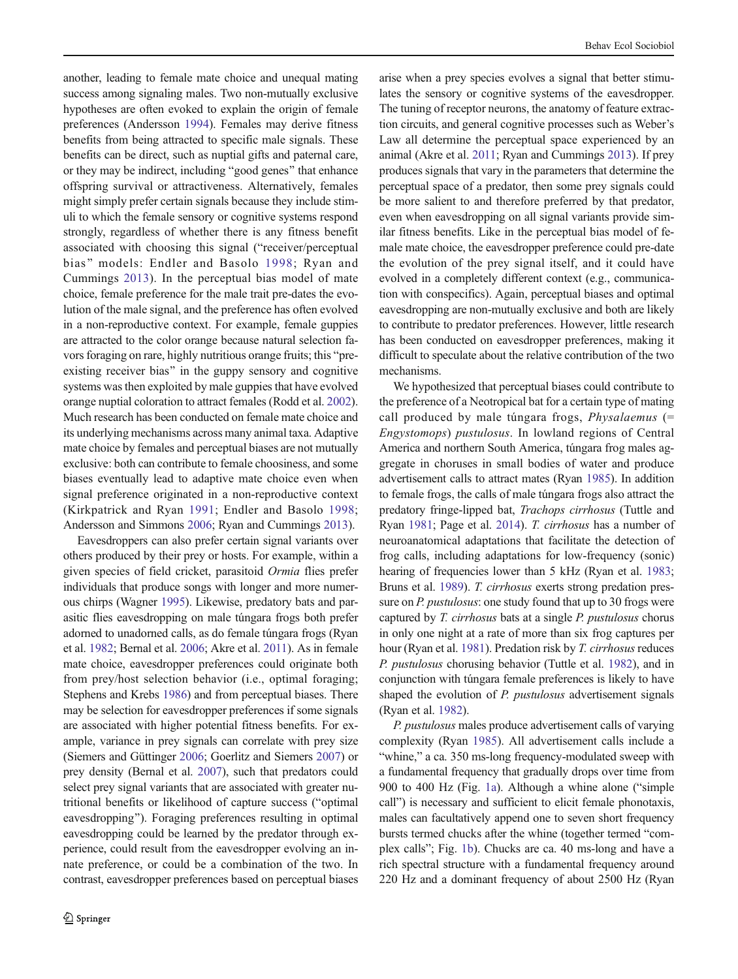another, leading to female mate choice and unequal mating success among signaling males. Two non-mutually exclusive hypotheses are often evoked to explain the origin of female preferences (Andersson [1994\)](#page-10-0). Females may derive fitness benefits from being attracted to specific male signals. These benefits can be direct, such as nuptial gifts and paternal care, or they may be indirect, including "good genes" that enhance offspring survival or attractiveness. Alternatively, females might simply prefer certain signals because they include stimuli to which the female sensory or cognitive systems respond strongly, regardless of whether there is any fitness benefit associated with choosing this signal ("receiver/perceptual bias" models: Endler and Basolo [1998;](#page-10-0) Ryan and Cummings [2013\)](#page-11-0). In the perceptual bias model of mate choice, female preference for the male trait pre-dates the evolution of the male signal, and the preference has often evolved in a non-reproductive context. For example, female guppies are attracted to the color orange because natural selection favors foraging on rare, highly nutritious orange fruits; this "preexisting receiver bias" in the guppy sensory and cognitive systems was then exploited by male guppies that have evolved orange nuptial coloration to attract females (Rodd et al. [2002\)](#page-11-0). Much research has been conducted on female mate choice and its underlying mechanisms across many animal taxa. Adaptive mate choice by females and perceptual biases are not mutually exclusive: both can contribute to female choosiness, and some biases eventually lead to adaptive mate choice even when signal preference originated in a non-reproductive context (Kirkpatrick and Ryan [1991;](#page-10-0) Endler and Basolo [1998](#page-10-0); Andersson and Simmons [2006;](#page-10-0) Ryan and Cummings [2013](#page-11-0)).

Eavesdroppers can also prefer certain signal variants over others produced by their prey or hosts. For example, within a given species of field cricket, parasitoid Ormia flies prefer individuals that produce songs with longer and more numerous chirps (Wagner [1995](#page-11-0)). Likewise, predatory bats and parasitic flies eavesdropping on male túngara frogs both prefer adorned to unadorned calls, as do female túngara frogs (Ryan et al. [1982;](#page-11-0) Bernal et al. [2006](#page-10-0); Akre et al. [2011\)](#page-10-0). As in female mate choice, eavesdropper preferences could originate both from prey/host selection behavior (i.e., optimal foraging; Stephens and Krebs [1986\)](#page-11-0) and from perceptual biases. There may be selection for eavesdropper preferences if some signals are associated with higher potential fitness benefits. For example, variance in prey signals can correlate with prey size (Siemers and Güttinger [2006;](#page-11-0) Goerlitz and Siemers [2007\)](#page-10-0) or prey density (Bernal et al. [2007](#page-10-0)), such that predators could select prey signal variants that are associated with greater nutritional benefits or likelihood of capture success ("optimal eavesdropping^). Foraging preferences resulting in optimal eavesdropping could be learned by the predator through experience, could result from the eavesdropper evolving an innate preference, or could be a combination of the two. In contrast, eavesdropper preferences based on perceptual biases

arise when a prey species evolves a signal that better stimulates the sensory or cognitive systems of the eavesdropper. The tuning of receptor neurons, the anatomy of feature extraction circuits, and general cognitive processes such as Weber's Law all determine the perceptual space experienced by an animal (Akre et al. [2011;](#page-10-0) Ryan and Cummings [2013](#page-11-0)). If prey produces signals that vary in the parameters that determine the perceptual space of a predator, then some prey signals could be more salient to and therefore preferred by that predator, even when eavesdropping on all signal variants provide similar fitness benefits. Like in the perceptual bias model of female mate choice, the eavesdropper preference could pre-date the evolution of the prey signal itself, and it could have evolved in a completely different context (e.g., communication with conspecifics). Again, perceptual biases and optimal eavesdropping are non-mutually exclusive and both are likely to contribute to predator preferences. However, little research has been conducted on eavesdropper preferences, making it difficult to speculate about the relative contribution of the two mechanisms.

We hypothesized that perceptual biases could contribute to the preference of a Neotropical bat for a certain type of mating call produced by male túngara frogs, Physalaemus (= Engystomops) pustulosus. In lowland regions of Central America and northern South America, túngara frog males aggregate in choruses in small bodies of water and produce advertisement calls to attract mates (Ryan [1985\)](#page-11-0). In addition to female frogs, the calls of male túngara frogs also attract the predatory fringe-lipped bat, Trachops cirrhosus (Tuttle and Ryan [1981](#page-11-0); Page et al. [2014](#page-11-0)). T. cirrhosus has a number of neuroanatomical adaptations that facilitate the detection of frog calls, including adaptations for low-frequency (sonic) hearing of frequencies lower than 5 kHz (Ryan et al. [1983;](#page-11-0) Bruns et al. [1989](#page-10-0)). T. cirrhosus exerts strong predation pressure on *P. pustulosus*: one study found that up to 30 frogs were captured by T. cirrhosus bats at a single P. pustulosus chorus in only one night at a rate of more than six frog captures per hour (Ryan et al. [1981\)](#page-11-0). Predation risk by T. cirrhosus reduces P. pustulosus chorusing behavior (Tuttle et al. [1982\)](#page-11-0), and in conjunction with túngara female preferences is likely to have shaped the evolution of P. pustulosus advertisement signals (Ryan et al. [1982](#page-11-0)).

P. pustulosus males produce advertisement calls of varying complexity (Ryan [1985](#page-11-0)). All advertisement calls include a "whine," a ca. 350 ms-long frequency-modulated sweep with a fundamental frequency that gradually drops over time from 900 to 400 Hz (Fig. [1a\)](#page-2-0). Although a whine alone ("simple call") is necessary and sufficient to elicit female phonotaxis, males can facultatively append one to seven short frequency bursts termed chucks after the whine (together termed "complex calls"; Fig. [1b](#page-2-0)). Chucks are ca. 40 ms-long and have a rich spectral structure with a fundamental frequency around 220 Hz and a dominant frequency of about 2500 Hz (Ryan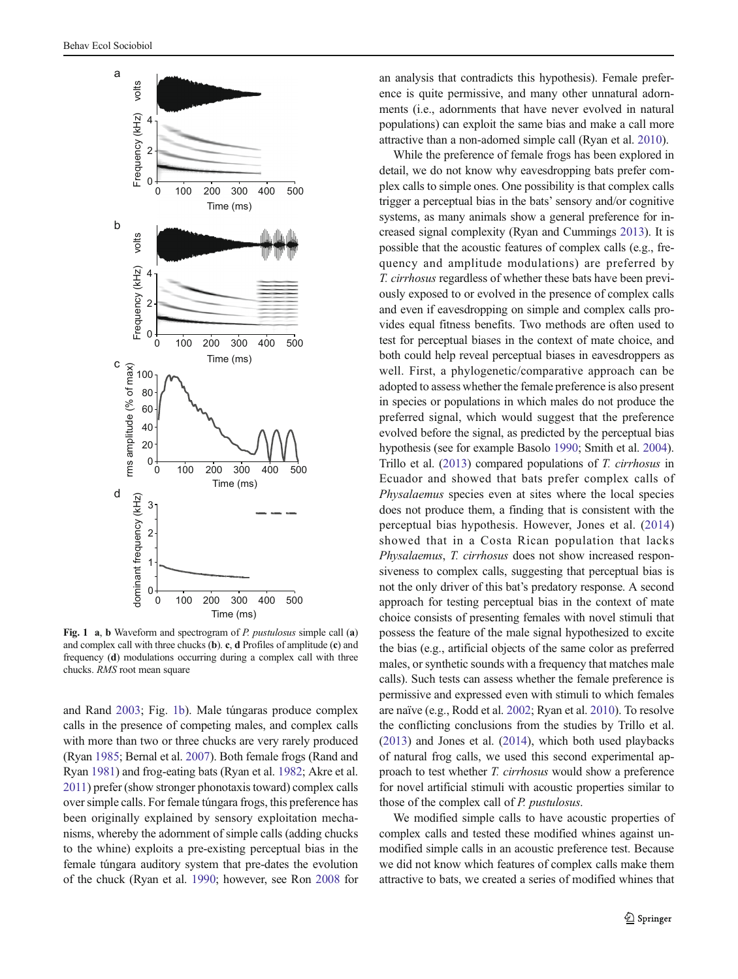<span id="page-2-0"></span>

Fig. 1 a, b Waveform and spectrogram of P. pustulosus simple call (a) and complex call with three chucks  $(b)$ . c, d Profiles of amplitude  $(c)$  and frequency (d) modulations occurring during a complex call with three chucks. RMS root mean square

and Rand [2003;](#page-11-0) Fig. 1b). Male túngaras produce complex calls in the presence of competing males, and complex calls with more than two or three chucks are very rarely produced (Ryan [1985](#page-11-0); Bernal et al. [2007](#page-10-0)). Both female frogs (Rand and Ryan [1981](#page-11-0)) and frog-eating bats (Ryan et al. [1982;](#page-11-0) Akre et al. [2011](#page-10-0)) prefer (show stronger phonotaxis toward) complex calls over simple calls. For female túngara frogs, this preference has been originally explained by sensory exploitation mechanisms, whereby the adornment of simple calls (adding chucks to the whine) exploits a pre-existing perceptual bias in the female túngara auditory system that pre-dates the evolution of the chuck (Ryan et al. [1990](#page-11-0); however, see Ron [2008](#page-11-0) for an analysis that contradicts this hypothesis). Female preference is quite permissive, and many other unnatural adornments (i.e., adornments that have never evolved in natural populations) can exploit the same bias and make a call more attractive than a non-adorned simple call (Ryan et al. [2010](#page-11-0)).

While the preference of female frogs has been explored in detail, we do not know why eavesdropping bats prefer complex calls to simple ones. One possibility is that complex calls trigger a perceptual bias in the bats' sensory and/or cognitive systems, as many animals show a general preference for increased signal complexity (Ryan and Cummings [2013](#page-11-0)). It is possible that the acoustic features of complex calls (e.g., frequency and amplitude modulations) are preferred by T. cirrhosus regardless of whether these bats have been previously exposed to or evolved in the presence of complex calls and even if eavesdropping on simple and complex calls provides equal fitness benefits. Two methods are often used to test for perceptual biases in the context of mate choice, and both could help reveal perceptual biases in eavesdroppers as well. First, a phylogenetic/comparative approach can be adopted to assess whether the female preference is also present in species or populations in which males do not produce the preferred signal, which would suggest that the preference evolved before the signal, as predicted by the perceptual bias hypothesis (see for example Basolo [1990;](#page-10-0) Smith et al. [2004\)](#page-11-0). Trillo et al. ([2013](#page-11-0)) compared populations of T. cirrhosus in Ecuador and showed that bats prefer complex calls of Physalaemus species even at sites where the local species does not produce them, a finding that is consistent with the perceptual bias hypothesis. However, Jones et al. ([2014](#page-10-0)) showed that in a Costa Rican population that lacks Physalaemus, T. cirrhosus does not show increased responsiveness to complex calls, suggesting that perceptual bias is not the only driver of this bat's predatory response. A second approach for testing perceptual bias in the context of mate choice consists of presenting females with novel stimuli that possess the feature of the male signal hypothesized to excite the bias (e.g., artificial objects of the same color as preferred males, or synthetic sounds with a frequency that matches male calls). Such tests can assess whether the female preference is permissive and expressed even with stimuli to which females are naïve (e.g., Rodd et al. [2002;](#page-11-0) Ryan et al. [2010](#page-11-0)). To resolve the conflicting conclusions from the studies by Trillo et al. [\(2013\)](#page-11-0) and Jones et al. [\(2014\)](#page-10-0), which both used playbacks of natural frog calls, we used this second experimental approach to test whether T. cirrhosus would show a preference for novel artificial stimuli with acoustic properties similar to those of the complex call of P. pustulosus.

We modified simple calls to have acoustic properties of complex calls and tested these modified whines against unmodified simple calls in an acoustic preference test. Because we did not know which features of complex calls make them attractive to bats, we created a series of modified whines that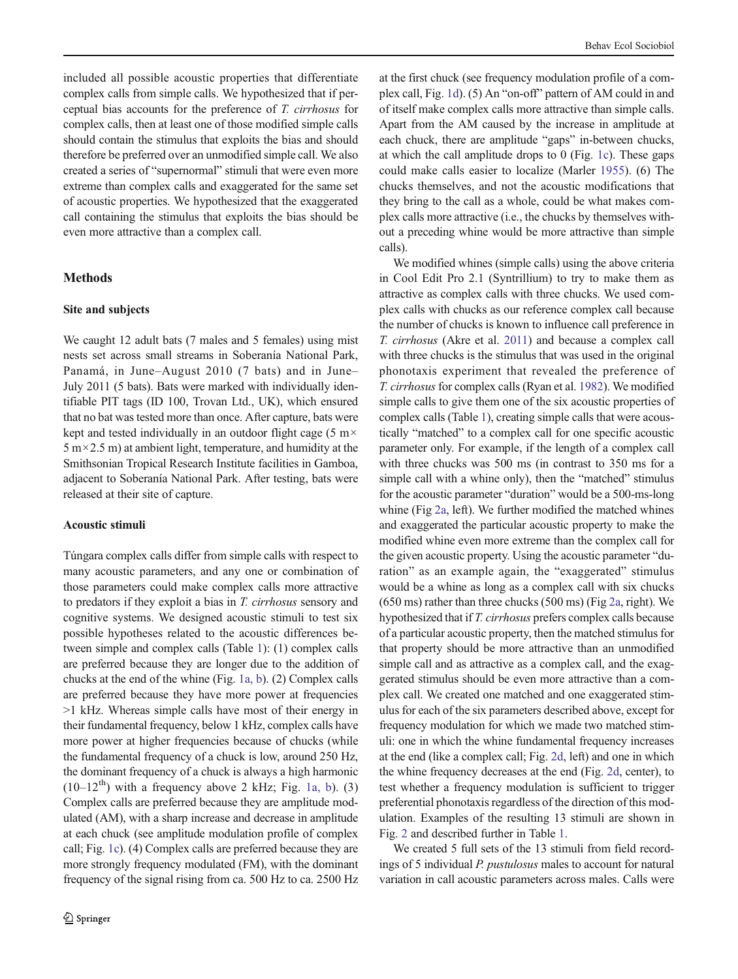included all possible acoustic properties that differentiate complex calls from simple calls. We hypothesized that if perceptual bias accounts for the preference of T. cirrhosus for complex calls, then at least one of those modified simple calls should contain the stimulus that exploits the bias and should therefore be preferred over an unmodified simple call. We also created a series of "supernormal" stimuli that were even more extreme than complex calls and exaggerated for the same set of acoustic properties. We hypothesized that the exaggerated call containing the stimulus that exploits the bias should be even more attractive than a complex call.

# **Methods**

## Site and subjects

We caught 12 adult bats (7 males and 5 females) using mist nests set across small streams in Soberanía National Park, Panamá, in June–August 2010 (7 bats) and in June– July 2011 (5 bats). Bats were marked with individually identifiable PIT tags (ID 100, Trovan Ltd., UK), which ensured that no bat was tested more than once. After capture, bats were kept and tested individually in an outdoor flight cage (5 m $\times$  $5 \text{ m} \times 2.5 \text{ m}$ ) at ambient light, temperature, and humidity at the Smithsonian Tropical Research Institute facilities in Gamboa, adjacent to Soberanía National Park. After testing, bats were released at their site of capture.

#### Acoustic stimuli

Túngara complex calls differ from simple calls with respect to many acoustic parameters, and any one or combination of those parameters could make complex calls more attractive to predators if they exploit a bias in T. cirrhosus sensory and cognitive systems. We designed acoustic stimuli to test six possible hypotheses related to the acoustic differences between simple and complex calls (Table [1](#page-4-0)): (1) complex calls are preferred because they are longer due to the addition of chucks at the end of the whine (Fig. [1a, b\)](#page-2-0). (2) Complex calls are preferred because they have more power at frequencies >1 kHz. Whereas simple calls have most of their energy in their fundamental frequency, below 1 kHz, complex calls have more power at higher frequencies because of chucks (while the fundamental frequency of a chuck is low, around 250 Hz, the dominant frequency of a chuck is always a high harmonic  $(10-12<sup>th</sup>)$  with a frequency above 2 kHz; Fig. [1a, b\)](#page-2-0). (3) Complex calls are preferred because they are amplitude modulated (AM), with a sharp increase and decrease in amplitude at each chuck (see amplitude modulation profile of complex call; Fig. [1c](#page-2-0)). (4) Complex calls are preferred because they are more strongly frequency modulated (FM), with the dominant frequency of the signal rising from ca. 500 Hz to ca. 2500 Hz

at the first chuck (see frequency modulation profile of a complex call, Fig. [1d](#page-2-0)). (5) An "on-off" pattern of AM could in and of itself make complex calls more attractive than simple calls. Apart from the AM caused by the increase in amplitude at each chuck, there are amplitude "gaps" in-between chucks, at which the call amplitude drops to 0 (Fig. [1c](#page-2-0)). These gaps could make calls easier to localize (Marler [1955](#page-11-0)). (6) The chucks themselves, and not the acoustic modifications that they bring to the call as a whole, could be what makes complex calls more attractive (i.e., the chucks by themselves without a preceding whine would be more attractive than simple calls).

We modified whines (simple calls) using the above criteria in Cool Edit Pro 2.1 (Syntrillium) to try to make them as attractive as complex calls with three chucks. We used complex calls with chucks as our reference complex call because the number of chucks is known to influence call preference in T. cirrhosus (Akre et al. [2011](#page-10-0)) and because a complex call with three chucks is the stimulus that was used in the original phonotaxis experiment that revealed the preference of T. cirrhosus for complex calls (Ryan et al. [1982\)](#page-11-0). We modified simple calls to give them one of the six acoustic properties of complex calls (Table [1\)](#page-4-0), creating simple calls that were acoustically "matched" to a complex call for one specific acoustic parameter only. For example, if the length of a complex call with three chucks was 500 ms (in contrast to 350 ms for a simple call with a whine only), then the "matched" stimulus for the acoustic parameter "duration" would be a 500-ms-long whine (Fig [2a](#page-5-0), left). We further modified the matched whines and exaggerated the particular acoustic property to make the modified whine even more extreme than the complex call for the given acoustic property. Using the acoustic parameter "duration" as an example again, the "exaggerated" stimulus would be a whine as long as a complex call with six chucks (650 ms) rather than three chucks (500 ms) (Fig [2a,](#page-5-0) right). We hypothesized that if T. cirrhosus prefers complex calls because of a particular acoustic property, then the matched stimulus for that property should be more attractive than an unmodified simple call and as attractive as a complex call, and the exaggerated stimulus should be even more attractive than a complex call. We created one matched and one exaggerated stimulus for each of the six parameters described above, except for frequency modulation for which we made two matched stimuli: one in which the whine fundamental frequency increases at the end (like a complex call; Fig. [2d,](#page-5-0) left) and one in which the whine frequency decreases at the end (Fig. [2d,](#page-5-0) center), to test whether a frequency modulation is sufficient to trigger preferential phonotaxis regardless of the direction of this modulation. Examples of the resulting 13 stimuli are shown in Fig. [2](#page-5-0) and described further in Table [1.](#page-4-0)

We created 5 full sets of the 13 stimuli from field recordings of 5 individual P. pustulosus males to account for natural variation in call acoustic parameters across males. Calls were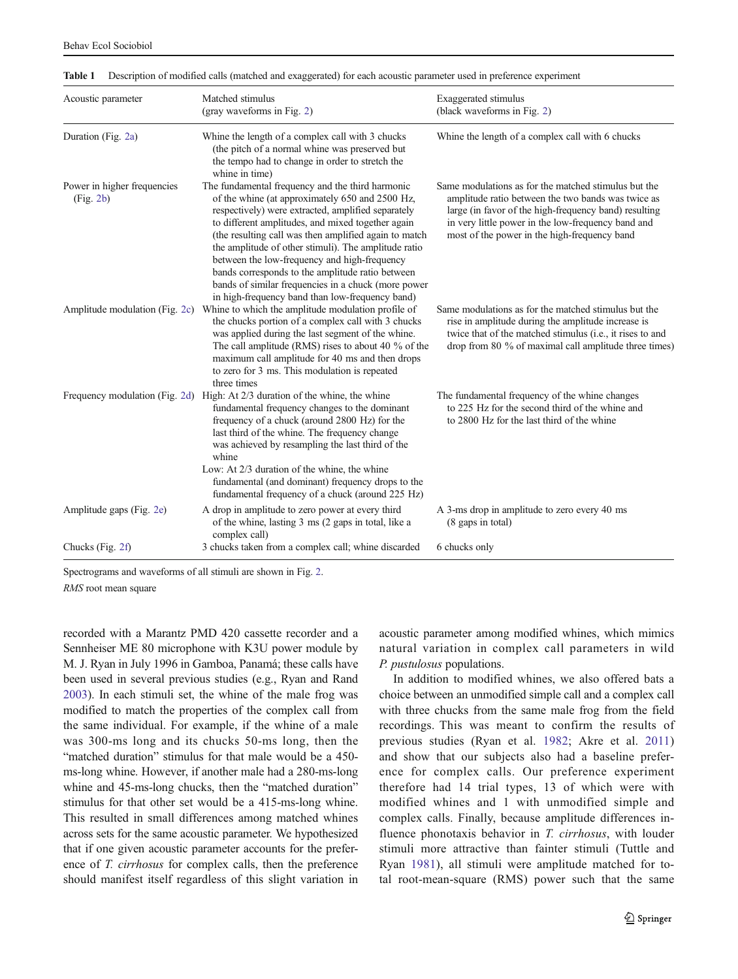| Acoustic parameter                       | Matched stimulus<br>(gray waveforms in Fig. 2)                                                                                                                                                                                                                                                                                                                                                                                                                                                                                                | Exaggerated stimulus<br>(black waveforms in Fig. 2)                                                                                                                                                                                                                       |
|------------------------------------------|-----------------------------------------------------------------------------------------------------------------------------------------------------------------------------------------------------------------------------------------------------------------------------------------------------------------------------------------------------------------------------------------------------------------------------------------------------------------------------------------------------------------------------------------------|---------------------------------------------------------------------------------------------------------------------------------------------------------------------------------------------------------------------------------------------------------------------------|
| Duration (Fig. 2a)                       | Whine the length of a complex call with 3 chucks<br>(the pitch of a normal whine was preserved but<br>the tempo had to change in order to stretch the<br>whine in time)                                                                                                                                                                                                                                                                                                                                                                       | Whine the length of a complex call with 6 chucks                                                                                                                                                                                                                          |
| Power in higher frequencies<br>(Fig. 2b) | The fundamental frequency and the third harmonic<br>of the whine (at approximately 650 and 2500 Hz,<br>respectively) were extracted, amplified separately<br>to different amplitudes, and mixed together again<br>(the resulting call was then amplified again to match<br>the amplitude of other stimuli). The amplitude ratio<br>between the low-frequency and high-frequency<br>bands corresponds to the amplitude ratio between<br>bands of similar frequencies in a chuck (more power<br>in high-frequency band than low-frequency band) | Same modulations as for the matched stimulus but the<br>amplitude ratio between the two bands was twice as<br>large (in favor of the high-frequency band) resulting<br>in very little power in the low-frequency band and<br>most of the power in the high-frequency band |
| Amplitude modulation (Fig. 2c)           | Whine to which the amplitude modulation profile of<br>the chucks portion of a complex call with 3 chucks<br>was applied during the last segment of the whine.<br>The call amplitude (RMS) rises to about 40 $\%$ of the<br>maximum call amplitude for 40 ms and then drops<br>to zero for 3 ms. This modulation is repeated<br>three times                                                                                                                                                                                                    | Same modulations as for the matched stimulus but the<br>rise in amplitude during the amplitude increase is<br>twice that of the matched stimulus (i.e., it rises to and<br>drop from 80 % of maximal call amplitude three times)                                          |
| Frequency modulation (Fig. 2d)           | High: At 2/3 duration of the whine, the whine<br>fundamental frequency changes to the dominant<br>frequency of a chuck (around 2800 Hz) for the<br>last third of the whine. The frequency change<br>was achieved by resampling the last third of the<br>whine<br>Low: At 2/3 duration of the whine, the whine<br>fundamental (and dominant) frequency drops to the<br>fundamental frequency of a chuck (around 225 Hz)                                                                                                                        | The fundamental frequency of the whine changes<br>to 225 Hz for the second third of the whine and<br>to 2800 Hz for the last third of the whine                                                                                                                           |
| Amplitude gaps (Fig. 2e)                 | A drop in amplitude to zero power at every third<br>of the whine, lasting 3 ms (2 gaps in total, like a<br>complex call)                                                                                                                                                                                                                                                                                                                                                                                                                      | A 3-ms drop in amplitude to zero every 40 ms<br>(8 gaps in total)                                                                                                                                                                                                         |
| Chucks (Fig. 2f)                         | 3 chucks taken from a complex call; whine discarded                                                                                                                                                                                                                                                                                                                                                                                                                                                                                           | 6 chucks only                                                                                                                                                                                                                                                             |

<span id="page-4-0"></span>Table 1 Description of modified calls (matched and exaggerated) for each acoustic parameter used in preference experiment

Spectrograms and waveforms of all stimuli are shown in Fig. [2](#page-5-0). RMS root mean square

recorded with a Marantz PMD 420 cassette recorder and a Sennheiser ME 80 microphone with K3U power module by M. J. Ryan in July 1996 in Gamboa, Panamá; these calls have been used in several previous studies (e.g., Ryan and Rand [2003\)](#page-11-0). In each stimuli set, the whine of the male frog was modified to match the properties of the complex call from the same individual. For example, if the whine of a male was 300-ms long and its chucks 50-ms long, then the "matched duration" stimulus for that male would be a 450 ms-long whine. However, if another male had a 280-ms-long whine and 45-ms-long chucks, then the "matched duration" stimulus for that other set would be a 415-ms-long whine. This resulted in small differences among matched whines across sets for the same acoustic parameter. We hypothesized that if one given acoustic parameter accounts for the preference of T. cirrhosus for complex calls, then the preference should manifest itself regardless of this slight variation in acoustic parameter among modified whines, which mimics natural variation in complex call parameters in wild P. pustulosus populations.

In addition to modified whines, we also offered bats a choice between an unmodified simple call and a complex call with three chucks from the same male frog from the field recordings. This was meant to confirm the results of previous studies (Ryan et al. [1982;](#page-11-0) Akre et al. [2011](#page-10-0)) and show that our subjects also had a baseline preference for complex calls. Our preference experiment therefore had 14 trial types, 13 of which were with modified whines and 1 with unmodified simple and complex calls. Finally, because amplitude differences influence phonotaxis behavior in T. cirrhosus, with louder stimuli more attractive than fainter stimuli (Tuttle and Ryan [1981](#page-11-0)), all stimuli were amplitude matched for total root-mean-square (RMS) power such that the same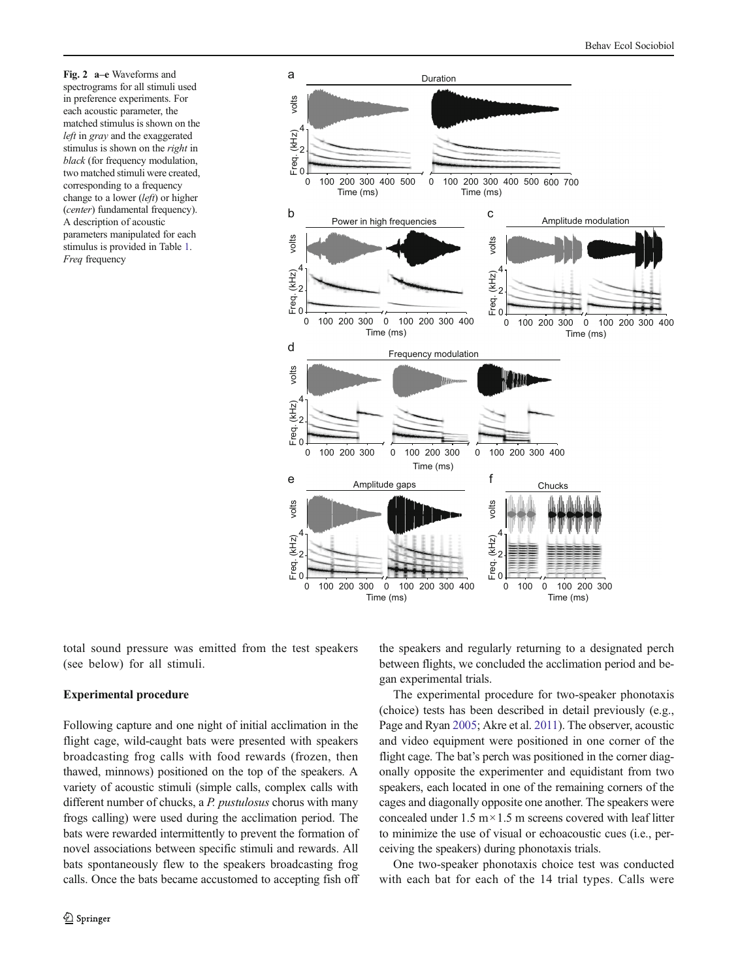<span id="page-5-0"></span>Fig. 2 a–e Waveforms and spectrograms for all stimuli used in preference experiments. For each acoustic parameter, the matched stimulus is shown on the left in gray and the exaggerated stimulus is shown on the right in black (for frequency modulation, two matched stimuli were created, corresponding to a frequency change to a lower (left) or higher (center) fundamental frequency). A description of acoustic parameters manipulated for each stimulus is provided in Table [1](#page-4-0). Freq frequency



total sound pressure was emitted from the test speakers (see below) for all stimuli.

#### Experimental procedure

Following capture and one night of initial acclimation in the flight cage, wild-caught bats were presented with speakers broadcasting frog calls with food rewards (frozen, then thawed, minnows) positioned on the top of the speakers. A variety of acoustic stimuli (simple calls, complex calls with different number of chucks, a P. pustulosus chorus with many frogs calling) were used during the acclimation period. The bats were rewarded intermittently to prevent the formation of novel associations between specific stimuli and rewards. All bats spontaneously flew to the speakers broadcasting frog calls. Once the bats became accustomed to accepting fish off

the speakers and regularly returning to a designated perch between flights, we concluded the acclimation period and began experimental trials.

The experimental procedure for two-speaker phonotaxis (choice) tests has been described in detail previously (e.g., Page and Ryan [2005](#page-11-0); Akre et al. [2011\)](#page-10-0). The observer, acoustic and video equipment were positioned in one corner of the flight cage. The bat's perch was positioned in the corner diagonally opposite the experimenter and equidistant from two speakers, each located in one of the remaining corners of the cages and diagonally opposite one another. The speakers were concealed under  $1.5 \text{ m} \times 1.5 \text{ m}$  screens covered with leaf litter to minimize the use of visual or echoacoustic cues (i.e., perceiving the speakers) during phonotaxis trials.

One two-speaker phonotaxis choice test was conducted with each bat for each of the 14 trial types. Calls were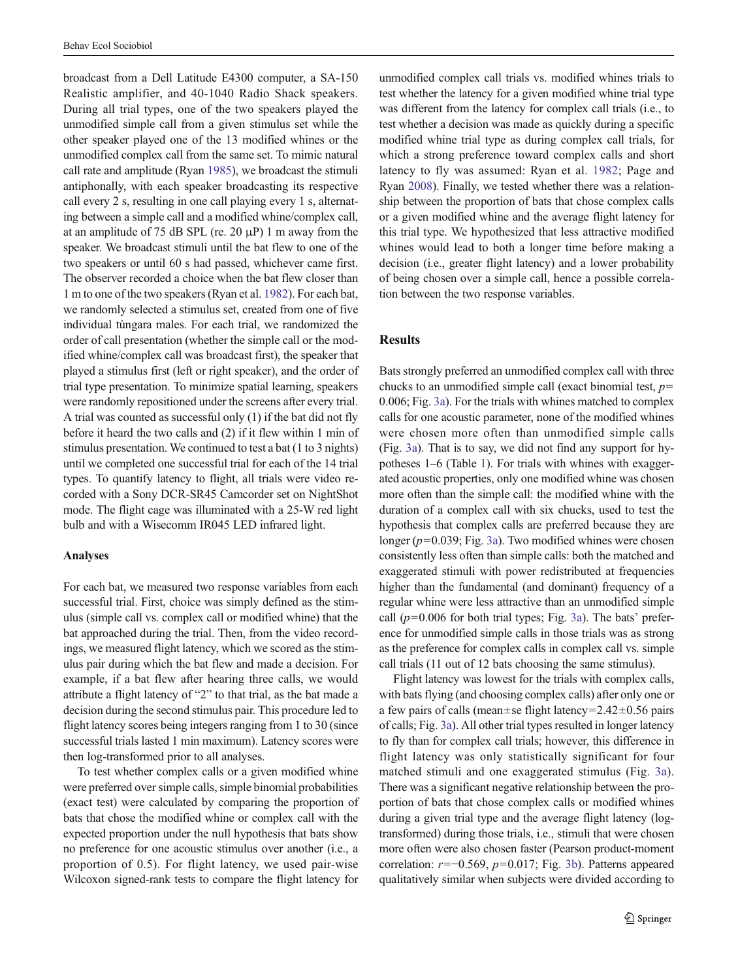broadcast from a Dell Latitude E4300 computer, a SA-150 Realistic amplifier, and 40-1040 Radio Shack speakers. During all trial types, one of the two speakers played the unmodified simple call from a given stimulus set while the other speaker played one of the 13 modified whines or the unmodified complex call from the same set. To mimic natural call rate and amplitude (Ryan [1985\)](#page-11-0), we broadcast the stimuli antiphonally, with each speaker broadcasting its respective call every 2 s, resulting in one call playing every 1 s, alternating between a simple call and a modified whine/complex call, at an amplitude of 75 dB SPL (re. 20  $\mu$ P) 1 m away from the speaker. We broadcast stimuli until the bat flew to one of the two speakers or until 60 s had passed, whichever came first. The observer recorded a choice when the bat flew closer than 1 m to one of the two speakers (Ryan et al. [1982\)](#page-11-0). For each bat, we randomly selected a stimulus set, created from one of five individual túngara males. For each trial, we randomized the order of call presentation (whether the simple call or the modified whine/complex call was broadcast first), the speaker that played a stimulus first (left or right speaker), and the order of trial type presentation. To minimize spatial learning, speakers were randomly repositioned under the screens after every trial. A trial was counted as successful only (1) if the bat did not fly before it heard the two calls and (2) if it flew within 1 min of stimulus presentation. We continued to test a bat (1 to 3 nights) until we completed one successful trial for each of the 14 trial types. To quantify latency to flight, all trials were video recorded with a Sony DCR-SR45 Camcorder set on NightShot mode. The flight cage was illuminated with a 25-W red light bulb and with a Wisecomm IR045 LED infrared light.

#### Analyses

For each bat, we measured two response variables from each successful trial. First, choice was simply defined as the stimulus (simple call vs. complex call or modified whine) that the bat approached during the trial. Then, from the video recordings, we measured flight latency, which we scored as the stimulus pair during which the bat flew and made a decision. For example, if a bat flew after hearing three calls, we would attribute a flight latency of "2" to that trial, as the bat made a decision during the second stimulus pair. This procedure led to flight latency scores being integers ranging from 1 to 30 (since successful trials lasted 1 min maximum). Latency scores were then log-transformed prior to all analyses.

To test whether complex calls or a given modified whine were preferred over simple calls, simple binomial probabilities (exact test) were calculated by comparing the proportion of bats that chose the modified whine or complex call with the expected proportion under the null hypothesis that bats show no preference for one acoustic stimulus over another (i.e., a proportion of 0.5). For flight latency, we used pair-wise Wilcoxon signed-rank tests to compare the flight latency for

unmodified complex call trials vs. modified whines trials to test whether the latency for a given modified whine trial type was different from the latency for complex call trials (i.e., to test whether a decision was made as quickly during a specific modified whine trial type as during complex call trials, for which a strong preference toward complex calls and short latency to fly was assumed: Ryan et al. [1982](#page-11-0); Page and Ryan [2008](#page-11-0)). Finally, we tested whether there was a relationship between the proportion of bats that chose complex calls or a given modified whine and the average flight latency for this trial type. We hypothesized that less attractive modified whines would lead to both a longer time before making a decision (i.e., greater flight latency) and a lower probability of being chosen over a simple call, hence a possible correlation between the two response variables.

# **Results**

Bats strongly preferred an unmodified complex call with three chucks to an unmodified simple call (exact binomial test,  $p=$ 0.006; Fig. [3a](#page-7-0)). For the trials with whines matched to complex calls for one acoustic parameter, none of the modified whines were chosen more often than unmodified simple calls (Fig. [3a\)](#page-7-0). That is to say, we did not find any support for hypotheses 1–6 (Table [1\)](#page-4-0). For trials with whines with exaggerated acoustic properties, only one modified whine was chosen more often than the simple call: the modified whine with the duration of a complex call with six chucks, used to test the hypothesis that complex calls are preferred because they are longer ( $p=0.039$ ; Fig. [3a\)](#page-7-0). Two modified whines were chosen consistently less often than simple calls: both the matched and exaggerated stimuli with power redistributed at frequencies higher than the fundamental (and dominant) frequency of a regular whine were less attractive than an unmodified simple call  $(p=0.006$  for both trial types; Fig. [3a\)](#page-7-0). The bats' preference for unmodified simple calls in those trials was as strong as the preference for complex calls in complex call vs. simple call trials (11 out of 12 bats choosing the same stimulus).

Flight latency was lowest for the trials with complex calls, with bats flying (and choosing complex calls) after only one or a few pairs of calls (mean $\pm$ se flight latency=2.42 $\pm$ 0.56 pairs of calls; Fig. [3a\)](#page-7-0). All other trial types resulted in longer latency to fly than for complex call trials; however, this difference in flight latency was only statistically significant for four matched stimuli and one exaggerated stimulus (Fig. [3a](#page-7-0)). There was a significant negative relationship between the proportion of bats that chose complex calls or modified whines during a given trial type and the average flight latency (logtransformed) during those trials, i.e., stimuli that were chosen more often were also chosen faster (Pearson product-moment correlation: r=−0.569, p=0.017; Fig. [3b](#page-7-0)). Patterns appeared qualitatively similar when subjects were divided according to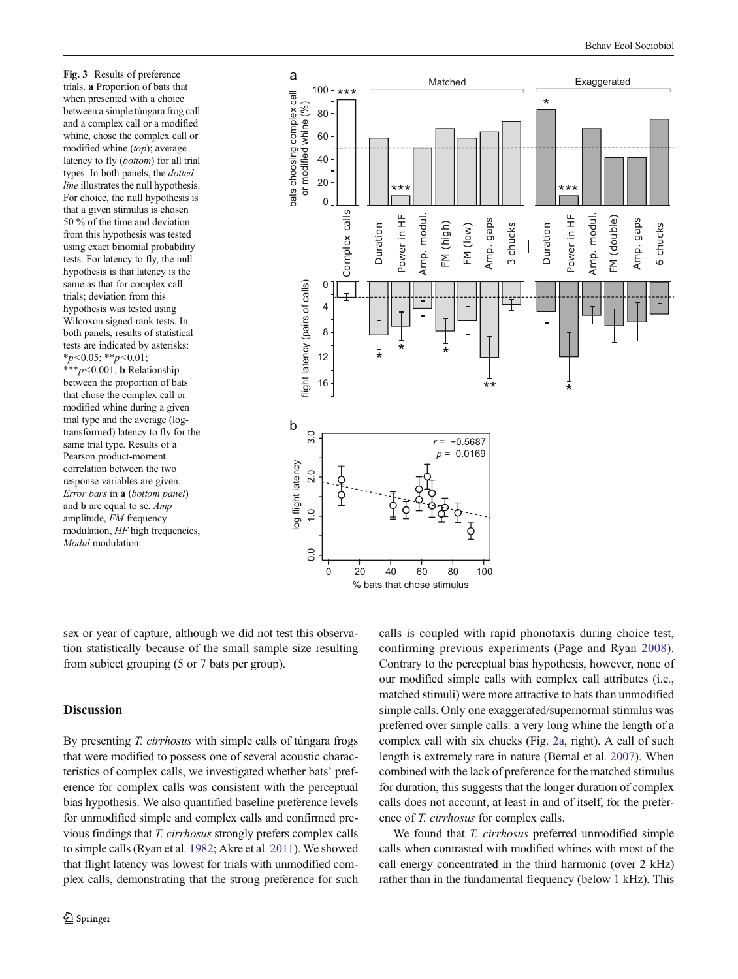<span id="page-7-0"></span>Fig. 3 Results of preference trials. a Proportion of bats that when presented with a choice between a simple túngara frog call and a complex call or a modified whine, chose the complex call or modified whine (top); average latency to fly (bottom) for all trial types. In both panels, the dotted line illustrates the null hypothesis. For choice, the null hypothesis is that a given stimulus is chosen 50 % of the time and deviation from this hypothesis was tested using exact binomial probability tests. For latency to fly, the null hypothesis is that latency is the same as that for complex call trials; deviation from this hypothesis was tested using Wilcoxon signed-rank tests. In both panels, results of statistical tests are indicated by asterisks:  $*_{p<0.05;}$   $*_{p<0.01;}$  $***p<0.001$ . **b** Relationship between the proportion of bats that chose the complex call or modified whine during a given trial type and the average (logtransformed) latency to fly for the same trial type. Results of a Pearson product-moment correlation between the two response variables are given. Error bars in a (bottom panel) and b are equal to se. Amp amplitude, FM frequency modulation, HF high frequencies, Modul modulation



% bats that chose stimulus

sex or year of capture, although we did not test this observation statistically because of the small sample size resulting from subject grouping (5 or 7 bats per group).

# Discussion

By presenting T. cirrhosus with simple calls of túngara frogs that were modified to possess one of several acoustic characteristics of complex calls, we investigated whether bats' preference for complex calls was consistent with the perceptual bias hypothesis. We also quantified baseline preference levels for unmodified simple and complex calls and confirmed previous findings that T. cirrhosus strongly prefers complex calls to simple calls (Ryan et al. [1982](#page-11-0); Akre et al. [2011](#page-10-0)). We showed that flight latency was lowest for trials with unmodified complex calls, demonstrating that the strong preference for such

D Springer ⊉

calls is coupled with rapid phonotaxis during choice test, confirming previous experiments (Page and Ryan [2008](#page-11-0)). Contrary to the perceptual bias hypothesis, however, none of our modified simple calls with complex call attributes (i.e., matched stimuli) were more attractive to bats than unmodified simple calls. Only one exaggerated/supernormal stimulus was preferred over simple calls: a very long whine the length of a complex call with six chucks (Fig. [2a](#page-5-0), right). A call of such length is extremely rare in nature (Bernal et al. [2007](#page-10-0)). When combined with the lack of preference for the matched stimulus for duration, this suggests that the longer duration of complex calls does not account, at least in and of itself, for the preference of T. cirrhosus for complex calls.

We found that T. cirrhosus preferred unmodified simple calls when contrasted with modified whines with most of the call energy concentrated in the third harmonic (over 2 kHz) rather than in the fundamental frequency (below 1 kHz). This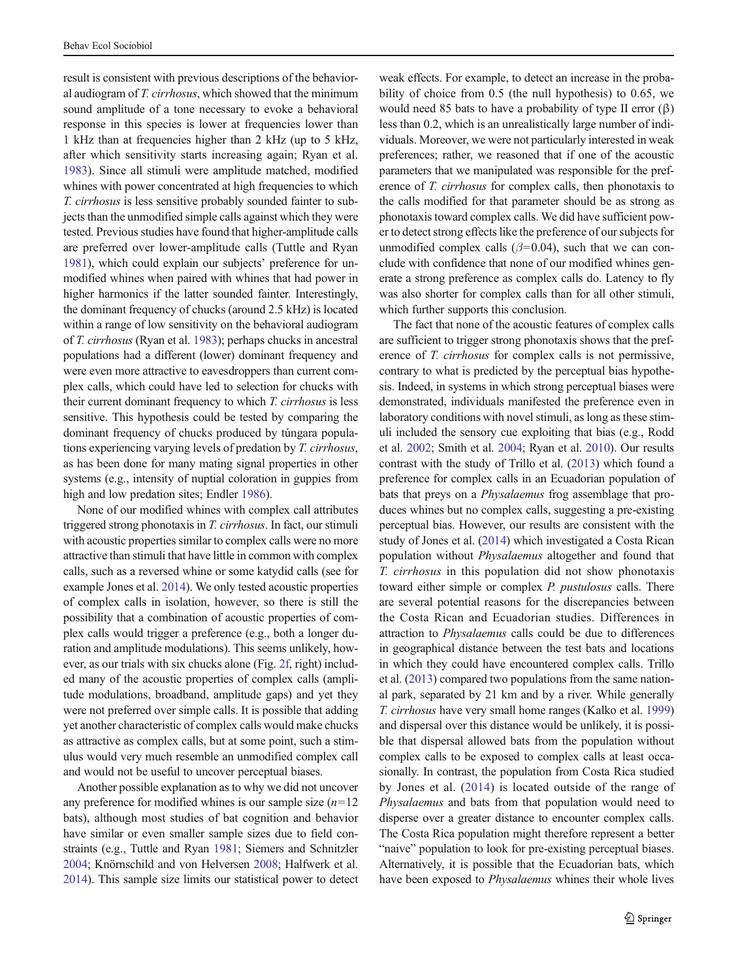result is consistent with previous descriptions of the behavioral audiogram of T. cirrhosus, which showed that the minimum sound amplitude of a tone necessary to evoke a behavioral response in this species is lower at frequencies lower than 1 kHz than at frequencies higher than 2 kHz (up to 5 kHz, after which sensitivity starts increasing again; Ryan et al. [1983\)](#page-11-0). Since all stimuli were amplitude matched, modified whines with power concentrated at high frequencies to which T. cirrhosus is less sensitive probably sounded fainter to subjects than the unmodified simple calls against which they were tested. Previous studies have found that higher-amplitude calls are preferred over lower-amplitude calls (Tuttle and Ryan [1981\)](#page-11-0), which could explain our subjects' preference for unmodified whines when paired with whines that had power in higher harmonics if the latter sounded fainter. Interestingly, the dominant frequency of chucks (around 2.5 kHz) is located within a range of low sensitivity on the behavioral audiogram of T. cirrhosus (Ryan et al. [1983\)](#page-11-0); perhaps chucks in ancestral populations had a different (lower) dominant frequency and were even more attractive to eavesdroppers than current complex calls, which could have led to selection for chucks with their current dominant frequency to which T. cirrhosus is less sensitive. This hypothesis could be tested by comparing the dominant frequency of chucks produced by túngara populations experiencing varying levels of predation by T. cirrhosus, as has been done for many mating signal properties in other systems (e.g., intensity of nuptial coloration in guppies from high and low predation sites; Endler [1986](#page-10-0)).

None of our modified whines with complex call attributes triggered strong phonotaxis in T. cirrhosus. In fact, our stimuli with acoustic properties similar to complex calls were no more attractive than stimuli that have little in common with complex calls, such as a reversed whine or some katydid calls (see for example Jones et al. [2014\)](#page-10-0). We only tested acoustic properties of complex calls in isolation, however, so there is still the possibility that a combination of acoustic properties of complex calls would trigger a preference (e.g., both a longer duration and amplitude modulations). This seems unlikely, however, as our trials with six chucks alone (Fig. [2f](#page-5-0), right) included many of the acoustic properties of complex calls (amplitude modulations, broadband, amplitude gaps) and yet they were not preferred over simple calls. It is possible that adding yet another characteristic of complex calls would make chucks as attractive as complex calls, but at some point, such a stimulus would very much resemble an unmodified complex call and would not be useful to uncover perceptual biases.

Another possible explanation as to why we did not uncover any preference for modified whines is our sample size  $(n=12)$ bats), although most studies of bat cognition and behavior have similar or even smaller sample sizes due to field constraints (e.g., Tuttle and Ryan [1981;](#page-11-0) Siemers and Schnitzler [2004;](#page-11-0) Knörnschild and von Helversen [2008](#page-11-0); Halfwerk et al. [2014\)](#page-10-0). This sample size limits our statistical power to detect

weak effects. For example, to detect an increase in the probability of choice from 0.5 (the null hypothesis) to 0.65, we would need 85 bats to have a probability of type II error  $(\beta)$ less than 0.2, which is an unrealistically large number of individuals. Moreover, we were not particularly interested in weak preferences; rather, we reasoned that if one of the acoustic parameters that we manipulated was responsible for the preference of T. cirrhosus for complex calls, then phonotaxis to the calls modified for that parameter should be as strong as phonotaxis toward complex calls. We did have sufficient power to detect strong effects like the preference of our subjects for unmodified complex calls ( $\beta$ =0.04), such that we can conclude with confidence that none of our modified whines generate a strong preference as complex calls do. Latency to fly was also shorter for complex calls than for all other stimuli, which further supports this conclusion.

The fact that none of the acoustic features of complex calls are sufficient to trigger strong phonotaxis shows that the preference of T. cirrhosus for complex calls is not permissive, contrary to what is predicted by the perceptual bias hypothesis. Indeed, in systems in which strong perceptual biases were demonstrated, individuals manifested the preference even in laboratory conditions with novel stimuli, as long as these stimuli included the sensory cue exploiting that bias (e.g., Rodd et al. [2002;](#page-11-0) Smith et al. [2004;](#page-11-0) Ryan et al. [2010](#page-11-0)). Our results contrast with the study of Trillo et al. [\(2013\)](#page-11-0) which found a preference for complex calls in an Ecuadorian population of bats that preys on a Physalaemus frog assemblage that produces whines but no complex calls, suggesting a pre-existing perceptual bias. However, our results are consistent with the study of Jones et al. [\(2014\)](#page-10-0) which investigated a Costa Rican population without Physalaemus altogether and found that T. cirrhosus in this population did not show phonotaxis toward either simple or complex P. pustulosus calls. There are several potential reasons for the discrepancies between the Costa Rican and Ecuadorian studies. Differences in attraction to Physalaemus calls could be due to differences in geographical distance between the test bats and locations in which they could have encountered complex calls. Trillo et al. [\(2013\)](#page-11-0) compared two populations from the same national park, separated by 21 km and by a river. While generally T. cirrhosus have very small home ranges (Kalko et al. [1999](#page-10-0)) and dispersal over this distance would be unlikely, it is possible that dispersal allowed bats from the population without complex calls to be exposed to complex calls at least occasionally. In contrast, the population from Costa Rica studied by Jones et al. [\(2014\)](#page-10-0) is located outside of the range of Physalaemus and bats from that population would need to disperse over a greater distance to encounter complex calls. The Costa Rica population might therefore represent a better "naive" population to look for pre-existing perceptual biases. Alternatively, it is possible that the Ecuadorian bats, which have been exposed to *Physalaemus* whines their whole lives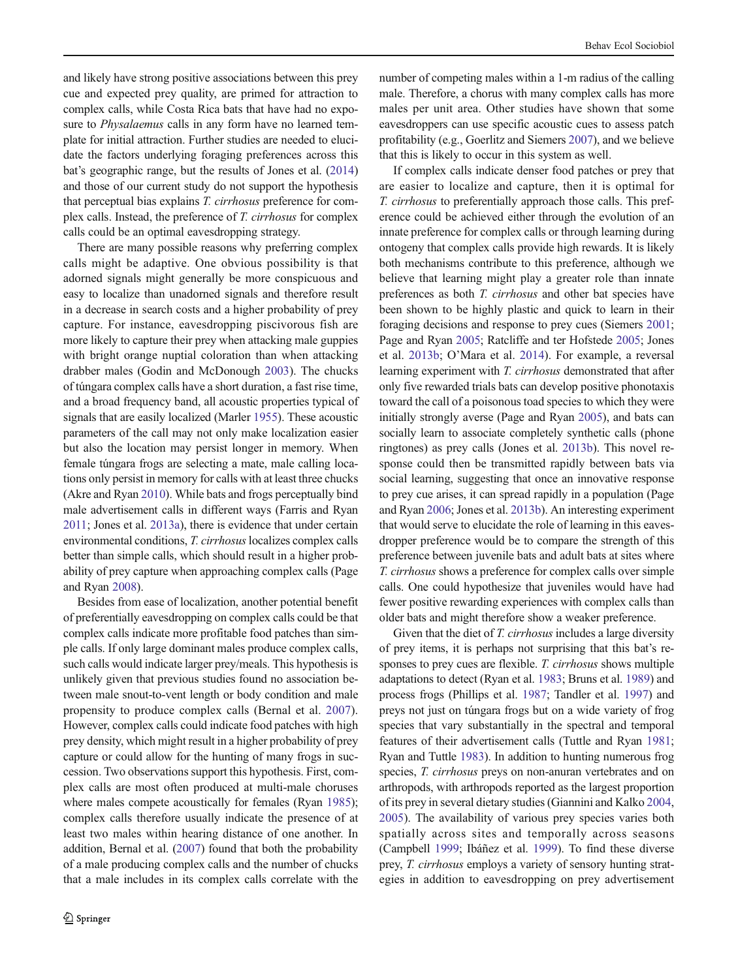and likely have strong positive associations between this prey cue and expected prey quality, are primed for attraction to complex calls, while Costa Rica bats that have had no exposure to *Physalaemus* calls in any form have no learned template for initial attraction. Further studies are needed to elucidate the factors underlying foraging preferences across this bat's geographic range, but the results of Jones et al. [\(2014\)](#page-10-0) and those of our current study do not support the hypothesis that perceptual bias explains T. cirrhosus preference for complex calls. Instead, the preference of T. cirrhosus for complex calls could be an optimal eavesdropping strategy.

There are many possible reasons why preferring complex calls might be adaptive. One obvious possibility is that adorned signals might generally be more conspicuous and easy to localize than unadorned signals and therefore result in a decrease in search costs and a higher probability of prey capture. For instance, eavesdropping piscivorous fish are more likely to capture their prey when attacking male guppies with bright orange nuptial coloration than when attacking drabber males (Godin and McDonough [2003\)](#page-10-0). The chucks of túngara complex calls have a short duration, a fast rise time, and a broad frequency band, all acoustic properties typical of signals that are easily localized (Marler [1955](#page-11-0)). These acoustic parameters of the call may not only make localization easier but also the location may persist longer in memory. When female túngara frogs are selecting a mate, male calling locations only persist in memory for calls with at least three chucks (Akre and Ryan [2010\)](#page-10-0). While bats and frogs perceptually bind male advertisement calls in different ways (Farris and Ryan [2011](#page-10-0); Jones et al. [2013a](#page-10-0)), there is evidence that under certain environmental conditions, T. cirrhosus localizes complex calls better than simple calls, which should result in a higher probability of prey capture when approaching complex calls (Page and Ryan [2008](#page-11-0)).

Besides from ease of localization, another potential benefit of preferentially eavesdropping on complex calls could be that complex calls indicate more profitable food patches than simple calls. If only large dominant males produce complex calls, such calls would indicate larger prey/meals. This hypothesis is unlikely given that previous studies found no association between male snout-to-vent length or body condition and male propensity to produce complex calls (Bernal et al. [2007](#page-10-0)). However, complex calls could indicate food patches with high prey density, which might result in a higher probability of prey capture or could allow for the hunting of many frogs in succession. Two observations support this hypothesis. First, complex calls are most often produced at multi-male choruses where males compete acoustically for females (Ryan [1985](#page-11-0)); complex calls therefore usually indicate the presence of at least two males within hearing distance of one another. In addition, Bernal et al. [\(2007](#page-10-0)) found that both the probability of a male producing complex calls and the number of chucks that a male includes in its complex calls correlate with the

number of competing males within a 1-m radius of the calling male. Therefore, a chorus with many complex calls has more males per unit area. Other studies have shown that some eavesdroppers can use specific acoustic cues to assess patch profitability (e.g., Goerlitz and Siemers [2007\)](#page-10-0), and we believe that this is likely to occur in this system as well.

If complex calls indicate denser food patches or prey that are easier to localize and capture, then it is optimal for T. cirrhosus to preferentially approach those calls. This preference could be achieved either through the evolution of an innate preference for complex calls or through learning during ontogeny that complex calls provide high rewards. It is likely both mechanisms contribute to this preference, although we believe that learning might play a greater role than innate preferences as both T. cirrhosus and other bat species have been shown to be highly plastic and quick to learn in their foraging decisions and response to prey cues (Siemers [2001;](#page-11-0) Page and Ryan [2005;](#page-11-0) Ratcliffe and ter Hofstede [2005](#page-11-0); Jones et al. [2013b;](#page-10-0) O'Mara et al. [2014](#page-11-0)). For example, a reversal learning experiment with *T. cirrhosus* demonstrated that after only five rewarded trials bats can develop positive phonotaxis toward the call of a poisonous toad species to which they were initially strongly averse (Page and Ryan [2005](#page-11-0)), and bats can socially learn to associate completely synthetic calls (phone ringtones) as prey calls (Jones et al. [2013b](#page-10-0)). This novel response could then be transmitted rapidly between bats via social learning, suggesting that once an innovative response to prey cue arises, it can spread rapidly in a population (Page and Ryan [2006](#page-11-0); Jones et al. [2013b\)](#page-10-0). An interesting experiment that would serve to elucidate the role of learning in this eavesdropper preference would be to compare the strength of this preference between juvenile bats and adult bats at sites where T. cirrhosus shows a preference for complex calls over simple calls. One could hypothesize that juveniles would have had fewer positive rewarding experiences with complex calls than older bats and might therefore show a weaker preference.

Given that the diet of T. cirrhosus includes a large diversity of prey items, it is perhaps not surprising that this bat's responses to prey cues are flexible. T. cirrhosus shows multiple adaptations to detect (Ryan et al. [1983;](#page-11-0) Bruns et al. [1989\)](#page-10-0) and process frogs (Phillips et al. [1987](#page-11-0); Tandler et al. [1997](#page-11-0)) and preys not just on túngara frogs but on a wide variety of frog species that vary substantially in the spectral and temporal features of their advertisement calls (Tuttle and Ryan [1981;](#page-11-0) Ryan and Tuttle [1983\)](#page-11-0). In addition to hunting numerous frog species, T. cirrhosus preys on non-anuran vertebrates and on arthropods, with arthropods reported as the largest proportion of its prey in several dietary studies (Giannini and Kalko [2004,](#page-10-0) [2005\)](#page-10-0). The availability of various prey species varies both spatially across sites and temporally across seasons (Campbell [1999;](#page-10-0) Ibáñez et al. [1999\)](#page-10-0). To find these diverse prey, T. cirrhosus employs a variety of sensory hunting strategies in addition to eavesdropping on prey advertisement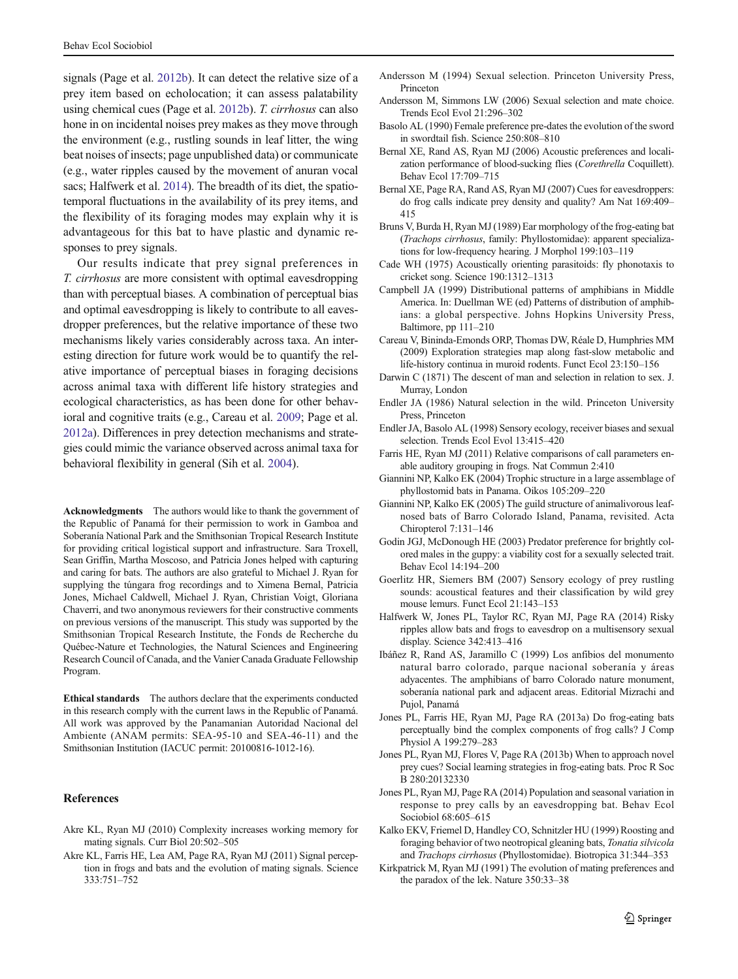<span id="page-10-0"></span>signals (Page et al. [2012b\)](#page-11-0). It can detect the relative size of a prey item based on echolocation; it can assess palatability using chemical cues (Page et al. [2012b](#page-11-0)). T. cirrhosus can also hone in on incidental noises prey makes as they move through the environment (e.g., rustling sounds in leaf litter, the wing beat noises of insects; page unpublished data) or communicate (e.g., water ripples caused by the movement of anuran vocal sacs; Halfwerk et al. 2014). The breadth of its diet, the spatiotemporal fluctuations in the availability of its prey items, and the flexibility of its foraging modes may explain why it is advantageous for this bat to have plastic and dynamic responses to prey signals.

Our results indicate that prey signal preferences in T. cirrhosus are more consistent with optimal eavesdropping than with perceptual biases. A combination of perceptual bias and optimal eavesdropping is likely to contribute to all eavesdropper preferences, but the relative importance of these two mechanisms likely varies considerably across taxa. An interesting direction for future work would be to quantify the relative importance of perceptual biases in foraging decisions across animal taxa with different life history strategies and ecological characteristics, as has been done for other behavioral and cognitive traits (e.g., Careau et al. 2009; Page et al. [2012a\)](#page-11-0). Differences in prey detection mechanisms and strategies could mimic the variance observed across animal taxa for behavioral flexibility in general (Sih et al. [2004\)](#page-11-0).

Acknowledgments The authors would like to thank the government of the Republic of Panamá for their permission to work in Gamboa and Soberanía National Park and the Smithsonian Tropical Research Institute for providing critical logistical support and infrastructure. Sara Troxell, Sean Griffin, Martha Moscoso, and Patricia Jones helped with capturing and caring for bats. The authors are also grateful to Michael J. Ryan for supplying the túngara frog recordings and to Ximena Bernal, Patricia Jones, Michael Caldwell, Michael J. Ryan, Christian Voigt, Gloriana Chaverri, and two anonymous reviewers for their constructive comments on previous versions of the manuscript. This study was supported by the Smithsonian Tropical Research Institute, the Fonds de Recherche du Québec-Nature et Technologies, the Natural Sciences and Engineering Research Council of Canada, and the Vanier Canada Graduate Fellowship Program.

Ethical standards The authors declare that the experiments conducted in this research comply with the current laws in the Republic of Panamá. All work was approved by the Panamanian Autoridad Nacional del Ambiente (ANAM permits: SEA-95-10 and SEA-46-11) and the Smithsonian Institution (IACUC permit: 20100816-1012-16).

#### References

- Akre KL, Ryan MJ (2010) Complexity increases working memory for mating signals. Curr Biol 20:502–505
- Akre KL, Farris HE, Lea AM, Page RA, Ryan MJ (2011) Signal perception in frogs and bats and the evolution of mating signals. Science 333:751–752
- Andersson M (1994) Sexual selection. Princeton University Press, Princeton
- Andersson M, Simmons LW (2006) Sexual selection and mate choice. Trends Ecol Evol 21:296–302
- Basolo AL (1990) Female preference pre-dates the evolution of the sword in swordtail fish. Science 250:808–810
- Bernal XE, Rand AS, Ryan MJ (2006) Acoustic preferences and localization performance of blood-sucking flies (Corethrella Coquillett). Behav Ecol 17:709–715
- Bernal XE, Page RA, Rand AS, Ryan MJ (2007) Cues for eavesdroppers: do frog calls indicate prey density and quality? Am Nat 169:409– 415
- Bruns V, Burda H, Ryan MJ (1989) Ear morphology of the frog-eating bat (Trachops cirrhosus, family: Phyllostomidae): apparent specializations for low-frequency hearing. J Morphol 199:103–119
- Cade WH (1975) Acoustically orienting parasitoids: fly phonotaxis to cricket song. Science 190:1312–1313
- Campbell JA (1999) Distributional patterns of amphibians in Middle America. In: Duellman WE (ed) Patterns of distribution of amphibians: a global perspective. Johns Hopkins University Press, Baltimore, pp 111–210
- Careau V, Bininda-Emonds ORP, Thomas DW, Réale D, Humphries MM (2009) Exploration strategies map along fast-slow metabolic and life-history continua in muroid rodents. Funct Ecol 23:150–156
- Darwin C (1871) The descent of man and selection in relation to sex. J. Murray, London
- Endler JA (1986) Natural selection in the wild. Princeton University Press, Princeton
- Endler JA, Basolo AL (1998) Sensory ecology, receiver biases and sexual selection. Trends Ecol Evol 13:415–420
- Farris HE, Ryan MJ (2011) Relative comparisons of call parameters enable auditory grouping in frogs. Nat Commun 2:410
- Giannini NP, Kalko EK (2004) Trophic structure in a large assemblage of phyllostomid bats in Panama. Oikos 105:209–220
- Giannini NP, Kalko EK (2005) The guild structure of animalivorous leafnosed bats of Barro Colorado Island, Panama, revisited. Acta Chiropterol 7:131–146
- Godin JGJ, McDonough HE (2003) Predator preference for brightly colored males in the guppy: a viability cost for a sexually selected trait. Behav Ecol 14:194–200
- Goerlitz HR, Siemers BM (2007) Sensory ecology of prey rustling sounds: acoustical features and their classification by wild grey mouse lemurs. Funct Ecol 21:143–153
- Halfwerk W, Jones PL, Taylor RC, Ryan MJ, Page RA (2014) Risky ripples allow bats and frogs to eavesdrop on a multisensory sexual display. Science 342:413–416
- Ibáñez R, Rand AS, Jaramillo C (1999) Los anfibios del monumento natural barro colorado, parque nacional soberanía y áreas adyacentes. The amphibians of barro Colorado nature monument, soberanía national park and adjacent areas. Editorial Mizrachi and Pujol, Panamá
- Jones PL, Farris HE, Ryan MJ, Page RA (2013a) Do frog-eating bats perceptually bind the complex components of frog calls? J Comp Physiol A 199:279–283
- Jones PL, Ryan MJ, Flores V, Page RA (2013b) When to approach novel prey cues? Social learning strategies in frog-eating bats. Proc R Soc B 280:20132330
- Jones PL, Ryan MJ, Page RA (2014) Population and seasonal variation in response to prey calls by an eavesdropping bat. Behav Ecol Sociobiol 68:605–615
- Kalko EKV, Friemel D, Handley CO, Schnitzler HU (1999) Roosting and foraging behavior of two neotropical gleaning bats, Tonatia silvicola and Trachops cirrhosus (Phyllostomidae). Biotropica 31:344–353
- Kirkpatrick M, Ryan MJ (1991) The evolution of mating preferences and the paradox of the lek. Nature 350:33–38